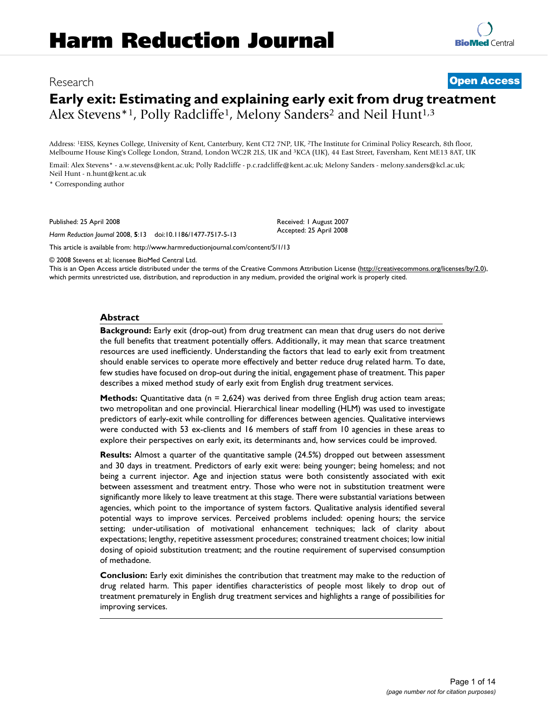# Research **[Open Access](http://www.biomedcentral.com/info/about/charter/)**

# **Early exit: Estimating and explaining early exit from drug treatment** Alex Stevens<sup>\*1</sup>, Polly Radcliffe<sup>1</sup>, Melony Sanders<sup>2</sup> and Neil Hunt<sup>1,3</sup>

Address: 1EISS, Keynes College, University of Kent, Canterbury, Kent CT2 7NP, UK, 2The Institute for Criminal Policy Research, 8th floor, Melbourne House King's College London, Strand, London WC2R 2LS, UK and 3KCA (UK), 44 East Street, Faversham, Kent ME13 8AT, UK

Email: Alex Stevens\* - a.w.stevens@kent.ac.uk; Polly Radcliffe - p.c.radcliffe@kent.ac.uk; Melony Sanders - melony.sanders@kcl.ac.uk; Neil Hunt - n.hunt@kent.ac.uk

\* Corresponding author

Published: 25 April 2008

Received: 1 August 2007 Accepted: 25 April 2008

[This article is available from: http://www.harmreductionjournal.com/content/5/1/13](http://www.harmreductionjournal.com/content/5/1/13)

*Harm Reduction Journal* 2008, **5**:13 doi:10.1186/1477-7517-5-13

© 2008 Stevens et al; licensee BioMed Central Ltd.

This is an Open Access article distributed under the terms of the Creative Commons Attribution License [\(http://creativecommons.org/licenses/by/2.0\)](http://creativecommons.org/licenses/by/2.0), which permits unrestricted use, distribution, and reproduction in any medium, provided the original work is properly cited.

#### **Abstract**

**Background:** Early exit (drop-out) from drug treatment can mean that drug users do not derive the full benefits that treatment potentially offers. Additionally, it may mean that scarce treatment resources are used inefficiently. Understanding the factors that lead to early exit from treatment should enable services to operate more effectively and better reduce drug related harm. To date, few studies have focused on drop-out during the initial, engagement phase of treatment. This paper describes a mixed method study of early exit from English drug treatment services.

**Methods:** Quantitative data (n = 2,624) was derived from three English drug action team areas; two metropolitan and one provincial. Hierarchical linear modelling (HLM) was used to investigate predictors of early-exit while controlling for differences between agencies. Qualitative interviews were conducted with 53 ex-clients and 16 members of staff from 10 agencies in these areas to explore their perspectives on early exit, its determinants and, how services could be improved.

**Results:** Almost a quarter of the quantitative sample (24.5%) dropped out between assessment and 30 days in treatment. Predictors of early exit were: being younger; being homeless; and not being a current injector. Age and injection status were both consistently associated with exit between assessment and treatment entry. Those who were not in substitution treatment were significantly more likely to leave treatment at this stage. There were substantial variations between agencies, which point to the importance of system factors. Qualitative analysis identified several potential ways to improve services. Perceived problems included: opening hours; the service setting; under-utilisation of motivational enhancement techniques; lack of clarity about expectations; lengthy, repetitive assessment procedures; constrained treatment choices; low initial dosing of opioid substitution treatment; and the routine requirement of supervised consumption of methadone.

**Conclusion:** Early exit diminishes the contribution that treatment may make to the reduction of drug related harm. This paper identifies characteristics of people most likely to drop out of treatment prematurely in English drug treatment services and highlights a range of possibilities for improving services.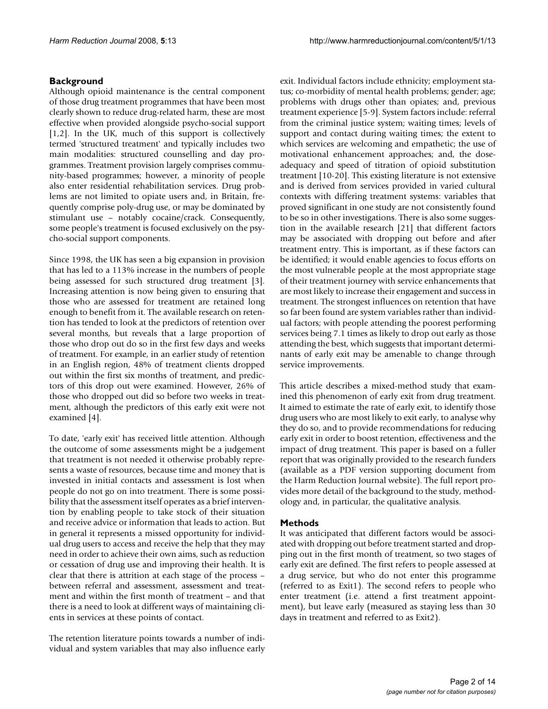# **Background**

Although opioid maintenance is the central component of those drug treatment programmes that have been most clearly shown to reduce drug-related harm, these are most effective when provided alongside psycho-social support [1,2]. In the UK, much of this support is collectively termed 'structured treatment' and typically includes two main modalities: structured counselling and day programmes. Treatment provision largely comprises community-based programmes; however, a minority of people also enter residential rehabilitation services. Drug problems are not limited to opiate users and, in Britain, frequently comprise poly-drug use, or may be dominated by stimulant use – notably cocaine/crack. Consequently, some people's treatment is focused exclusively on the psycho-social support components.

Since 1998, the UK has seen a big expansion in provision that has led to a 113% increase in the numbers of people being assessed for such structured drug treatment [3]. Increasing attention is now being given to ensuring that those who are assessed for treatment are retained long enough to benefit from it. The available research on retention has tended to look at the predictors of retention over several months, but reveals that a large proportion of those who drop out do so in the first few days and weeks of treatment. For example, in an earlier study of retention in an English region, 48% of treatment clients dropped out within the first six months of treatment, and predictors of this drop out were examined. However, 26% of those who dropped out did so before two weeks in treatment, although the predictors of this early exit were not examined [4].

To date, 'early exit' has received little attention. Although the outcome of some assessments might be a judgement that treatment is not needed it otherwise probably represents a waste of resources, because time and money that is invested in initial contacts and assessment is lost when people do not go on into treatment. There is some possibility that the assessment itself operates as a brief intervention by enabling people to take stock of their situation and receive advice or information that leads to action. But in general it represents a missed opportunity for individual drug users to access and receive the help that they may need in order to achieve their own aims, such as reduction or cessation of drug use and improving their health. It is clear that there is attrition at each stage of the process – between referral and assessment, assessment and treatment and within the first month of treatment – and that there is a need to look at different ways of maintaining clients in services at these points of contact.

The retention literature points towards a number of individual and system variables that may also influence early exit. Individual factors include ethnicity; employment status; co-morbidity of mental health problems; gender; age; problems with drugs other than opiates; and, previous treatment experience [5-9]. System factors include: referral from the criminal justice system; waiting times; levels of support and contact during waiting times; the extent to which services are welcoming and empathetic; the use of motivational enhancement approaches; and, the doseadequacy and speed of titration of opioid substitution treatment [10-20]. This existing literature is not extensive and is derived from services provided in varied cultural contexts with differing treatment systems: variables that proved significant in one study are not consistently found to be so in other investigations. There is also some suggestion in the available research [21] that different factors may be associated with dropping out before and after treatment entry. This is important, as if these factors can be identified; it would enable agencies to focus efforts on the most vulnerable people at the most appropriate stage of their treatment journey with service enhancements that are most likely to increase their engagement and success in treatment. The strongest influences on retention that have so far been found are system variables rather than individual factors; with people attending the poorest performing services being 7.1 times as likely to drop out early as those attending the best, which suggests that important determinants of early exit may be amenable to change through service improvements.

This article describes a mixed-method study that examined this phenomenon of early exit from drug treatment. It aimed to estimate the rate of early exit, to identify those drug users who are most likely to exit early, to analyse why they do so, and to provide recommendations for reducing early exit in order to boost retention, effectiveness and the impact of drug treatment. This paper is based on a fuller report that was originally provided to the research funders (available as a PDF version supporting document from the Harm Reduction Journal website). The full report provides more detail of the background to the study, methodology and, in particular, the qualitative analysis.

# **Methods**

It was anticipated that different factors would be associated with dropping out before treatment started and dropping out in the first month of treatment, so two stages of early exit are defined. The first refers to people assessed at a drug service, but who do not enter this programme (referred to as Exit1). The second refers to people who enter treatment (i.e. attend a first treatment appointment), but leave early (measured as staying less than 30 days in treatment and referred to as Exit2).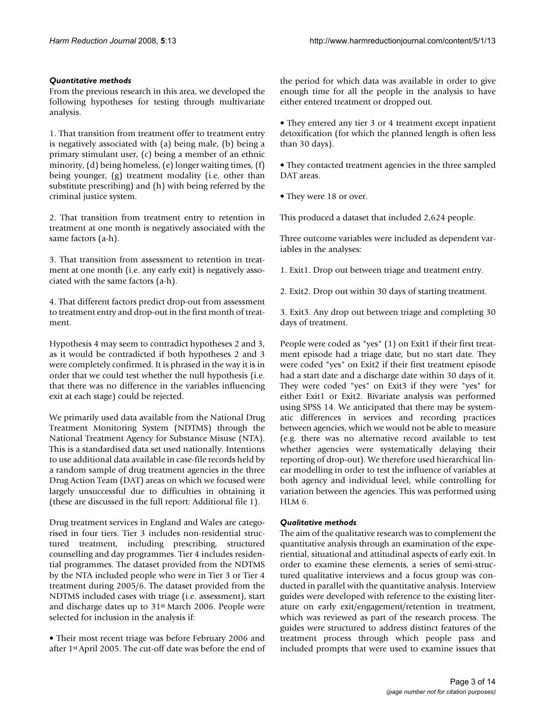#### *Quantitative methods*

From the previous research in this area, we developed the following hypotheses for testing through multivariate analysis.

1. That transition from treatment offer to treatment entry is negatively associated with (a) being male, (b) being a primary stimulant user, (c) being a member of an ethnic minority, (d) being homeless, (e) longer waiting times, (f) being younger, (g) treatment modality (i.e. other than substitute prescribing) and (h) with being referred by the criminal justice system.

2. That transition from treatment entry to retention in treatment at one month is negatively associated with the same factors (a-h).

3. That transition from assessment to retention in treatment at one month (i.e. any early exit) is negatively associated with the same factors (a-h).

4. That different factors predict drop-out from assessment to treatment entry and drop-out in the first month of treatment.

Hypothesis 4 may seem to contradict hypotheses 2 and 3, as it would be contradicted if both hypotheses 2 and 3 were completely confirmed. It is phrased in the way it is in order that we could test whether the null hypothesis (i.e. that there was no difference in the variables influencing exit at each stage) could be rejected.

We primarily used data available from the National Drug Treatment Monitoring System (NDTMS) through the National Treatment Agency for Substance Misuse (NTA). This is a standardised data set used nationally. Intentions to use additional data available in case-file records held by a random sample of drug treatment agencies in the three Drug Action Team (DAT) areas on which we focused were largely unsuccessful due to difficulties in obtaining it (these are discussed in the full report: Additional file 1).

Drug treatment services in England and Wales are categorised in four tiers. Tier 3 includes non-residential structured treatment, including prescribing, structured counselling and day programmes. Tier 4 includes residential programmes. The dataset provided from the NDTMS by the NTA included people who were in Tier 3 or Tier 4 treatment during 2005/6. The dataset provided from the NDTMS included cases with triage (i.e. assessment), start and discharge dates up to 31st March 2006. People were selected for inclusion in the analysis if:

• Their most recent triage was before February 2006 and after 1st April 2005. The cut-off date was before the end of the period for which data was available in order to give enough time for all the people in the analysis to have either entered treatment or dropped out.

• They entered any tier 3 or 4 treatment except inpatient detoxification (for which the planned length is often less than 30 days).

• They contacted treatment agencies in the three sampled DAT areas.

• They were 18 or over.

This produced a dataset that included 2,624 people.

Three outcome variables were included as dependent variables in the analyses:

1. Exit1. Drop out between triage and treatment entry.

2. Exit2. Drop out within 30 days of starting treatment.

3. Exit3. Any drop out between triage and completing 30 days of treatment.

People were coded as "yes" (1) on Exit1 if their first treatment episode had a triage date, but no start date. They were coded "yes" on Exit2 if their first treatment episode had a start date and a discharge date within 30 days of it. They were coded "yes" on Exit3 if they were "yes" for either Exit1 or Exit2. Bivariate analysis was performed using SPSS 14. We anticipated that there may be systematic differences in services and recording practices between agencies, which we would not be able to measure (e.g. there was no alternative record available to test whether agencies were systematically delaying their reporting of drop-out). We therefore used hierarchical linear modelling in order to test the influence of variables at both agency and individual level, while controlling for variation between the agencies. This was performed using  $HLM$  6.

#### *Qualitative methods*

The aim of the qualitative research was to complement the quantitative analysis through an examination of the experiential, situational and attitudinal aspects of early exit. In order to examine these elements, a series of semi-structured qualitative interviews and a focus group was conducted in parallel with the quantitative analysis. Interview guides were developed with reference to the existing literature on early exit/engagement/retention in treatment, which was reviewed as part of the research process. The guides were structured to address distinct features of the treatment process through which people pass and included prompts that were used to examine issues that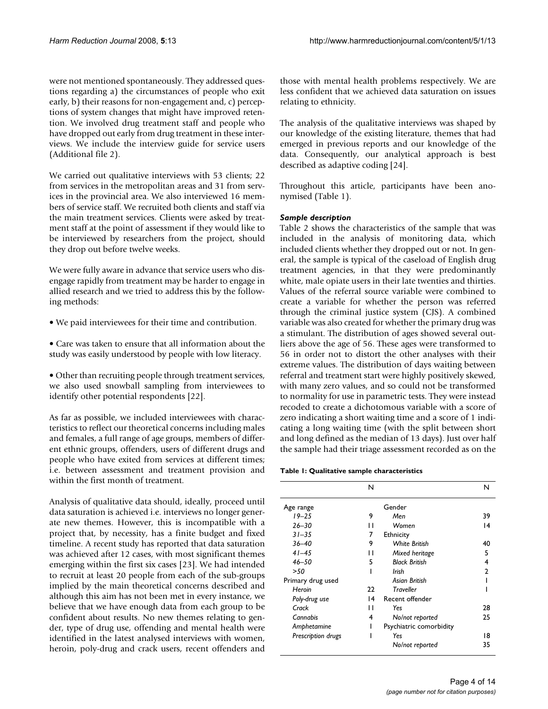were not mentioned spontaneously. They addressed questions regarding a) the circumstances of people who exit early, b) their reasons for non-engagement and, c) perceptions of system changes that might have improved retention. We involved drug treatment staff and people who have dropped out early from drug treatment in these interviews. We include the interview guide for service users (Additional file 2).

We carried out qualitative interviews with 53 clients; 22 from services in the metropolitan areas and 31 from services in the provincial area. We also interviewed 16 members of service staff. We recruited both clients and staff via the main treatment services. Clients were asked by treatment staff at the point of assessment if they would like to be interviewed by researchers from the project, should they drop out before twelve weeks.

We were fully aware in advance that service users who disengage rapidly from treatment may be harder to engage in allied research and we tried to address this by the following methods:

- We paid interviewees for their time and contribution.
- Care was taken to ensure that all information about the study was easily understood by people with low literacy.

• Other than recruiting people through treatment services, we also used snowball sampling from interviewees to identify other potential respondents [22].

As far as possible, we included interviewees with characteristics to reflect our theoretical concerns including males and females, a full range of age groups, members of different ethnic groups, offenders, users of different drugs and people who have exited from services at different times; i.e. between assessment and treatment provision and within the first month of treatment.

Analysis of qualitative data should, ideally, proceed until data saturation is achieved i.e. interviews no longer generate new themes. However, this is incompatible with a project that, by necessity, has a finite budget and fixed timeline. A recent study has reported that data saturation was achieved after 12 cases, with most significant themes emerging within the first six cases [23]. We had intended to recruit at least 20 people from each of the sub-groups implied by the main theoretical concerns described and although this aim has not been met in every instance, we believe that we have enough data from each group to be confident about results. No new themes relating to gender, type of drug use, offending and mental health were identified in the latest analysed interviews with women, heroin, poly-drug and crack users, recent offenders and those with mental health problems respectively. We are less confident that we achieved data saturation on issues relating to ethnicity.

The analysis of the qualitative interviews was shaped by our knowledge of the existing literature, themes that had emerged in previous reports and our knowledge of the data. Consequently, our analytical approach is best described as adaptive coding [24].

Throughout this article, participants have been anonymised (Table 1).

#### *Sample description*

Table 2 shows the characteristics of the sample that was included in the analysis of monitoring data, which included clients whether they dropped out or not. In general, the sample is typical of the caseload of English drug treatment agencies, in that they were predominantly white, male opiate users in their late twenties and thirties. Values of the referral source variable were combined to create a variable for whether the person was referred through the criminal justice system (CJS). A combined variable was also created for whether the primary drug was a stimulant. The distribution of ages showed several outliers above the age of 56. These ages were transformed to 56 in order not to distort the other analyses with their extreme values. The distribution of days waiting between referral and treatment start were highly positively skewed, with many zero values, and so could not be transformed to normality for use in parametric tests. They were instead recoded to create a dichotomous variable with a score of zero indicating a short waiting time and a score of 1 indicating a long waiting time (with the split between short and long defined as the median of 13 days). Just over half the sample had their triage assessment recorded as on the

#### **Table 1: Qualitative sample characteristics**

|                    | N               |                         | N  |
|--------------------|-----------------|-------------------------|----|
| Age range          |                 | Gender                  |    |
| $19 - 25$          | 9               | Men                     | 39 |
| $26 - 30$          | п               | Women                   | 14 |
| $31 - 35$          | 7               | <b>Ethnicity</b>        |    |
| $36 - 40$          | 9               | White British           | 40 |
| $41 - 45$          | Ш               | Mixed heritage          | 5  |
| $46 - 50$          | 5               | <b>Black British</b>    | 4  |
| >50                |                 | Irish                   | າ  |
| Primary drug used  |                 | Asian British           |    |
| Heroin             | 22              | Traveller               |    |
| Poly-drug use      | $\overline{14}$ | Recent offender         |    |
| Crack              | Н               | Yes                     | 28 |
| Cannabis           | 4               | No/not reported         | 25 |
| Amphetamine        |                 | Psychiatric comorbidity |    |
| Prescription drugs |                 | Yes                     | 18 |
|                    |                 | No/not reported         | 35 |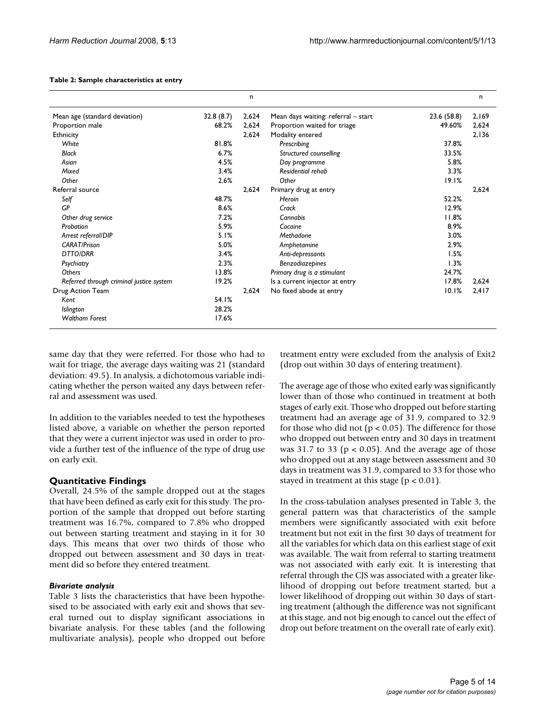#### **Table 2: Sample characteristics at entry**

|                                          |            | n     |                                     |             | n     |
|------------------------------------------|------------|-------|-------------------------------------|-------------|-------|
| Mean age (standard deviation)            | 32.8 (8.7) | 2,624 | Mean days waiting: referral - start | 23.6 (58.8) | 2,169 |
| Proportion male                          | 68.2%      | 2.624 | Proportion waited for triage        | 49.60%      | 2.624 |
| Ethnicity                                |            | 2,624 | Modality entered                    |             | 2,136 |
| White                                    | 81.8%      |       | Prescribing                         | 37.8%       |       |
| <b>Black</b>                             | 6.7%       |       | Structured counselling              | 33.5%       |       |
| Asian                                    | 4.5%       |       | Day programme                       | 5.8%        |       |
| Mixed                                    | 3.4%       |       | Residential rehab                   | 3.3%        |       |
| Other                                    | 2.6%       |       | Other                               | 19.1%       |       |
| Referral source                          |            | 2.624 | Primary drug at entry               |             | 2.624 |
| Self                                     | 48.7%      |       | Heroin                              | 52.2%       |       |
| GP                                       | 8.6%       |       | Crack                               | 12.9%       |       |
| Other drug service                       | 7.2%       |       | Cannabis                            | 11.8%       |       |
| Probation                                | 5.9%       |       | Cocaine                             | 8.9%        |       |
| Arrest referral/DIP                      | 5.1%       |       | Methadone                           | 3.0%        |       |
| <b>CARAT/Prison</b>                      | 5.0%       |       | Amphetamine                         | 2.9%        |       |
| <b>DTTO/DRR</b>                          | 3.4%       |       | Anti-depressants                    | 1.5%        |       |
| Psychiatry                               | 2.3%       |       | Benzodiazepines                     | 1.3%        |       |
| Others                                   | 13.8%      |       | Primary drug is a stimulant         | 24.7%       |       |
| Referred through criminal justice system | 19.2%      |       | Is a current injector at entry      | 17.8%       | 2,624 |
| Drug Action Team                         |            | 2.624 | No fixed abode at entry             | 10.1%       | 2,417 |
| Kent                                     | 54.1%      |       |                                     |             |       |
| Islington                                | 28.2%      |       |                                     |             |       |
| <b>Waltham Forest</b>                    | 17.6%      |       |                                     |             |       |

same day that they were referred. For those who had to wait for triage, the average days waiting was 21 (standard deviation: 49.5). In analysis, a dichotomous variable indicating whether the person waited any days between referral and assessment was used.

In addition to the variables needed to test the hypotheses listed above, a variable on whether the person reported that they were a current injector was used in order to provide a further test of the influence of the type of drug use on early exit.

# **Quantitative Findings**

Overall, 24.5% of the sample dropped out at the stages that have been defined as early exit for this study. The proportion of the sample that dropped out before starting treatment was 16.7%, compared to 7.8% who dropped out between starting treatment and staying in it for 30 days. This means that over two thirds of those who dropped out between assessment and 30 days in treatment did so before they entered treatment.

#### *Bivariate analysis*

Table 3 lists the characteristics that have been hypothesised to be associated with early exit and shows that several turned out to display significant associations in bivariate analysis. For these tables (and the following multivariate analysis), people who dropped out before treatment entry were excluded from the analysis of Exit2 (drop out within 30 days of entering treatment).

The average age of those who exited early was significantly lower than of those who continued in treatment at both stages of early exit. Those who dropped out before starting treatment had an average age of 31.9, compared to 32.9 for those who did not ( $p < 0.05$ ). The difference for those who dropped out between entry and 30 days in treatment was 31.7 to 33 ( $p < 0.05$ ). And the average age of those who dropped out at any stage between assessment and 30 days in treatment was 31.9, compared to 33 for those who stayed in treatment at this stage ( $p < 0.01$ ).

In the cross-tabulation analyses presented in Table 3, the general pattern was that characteristics of the sample members were significantly associated with exit before treatment but not exit in the first 30 days of treatment for all the variables for which data on this earliest stage of exit was available. The wait from referral to starting treatment was not associated with early exit. It is interesting that referral through the CJS was associated with a greater likelihood of dropping out before treatment started, but a lower likelihood of dropping out within 30 days of starting treatment (although the difference was not significant at this stage, and not big enough to cancel out the effect of drop out before treatment on the overall rate of early exit).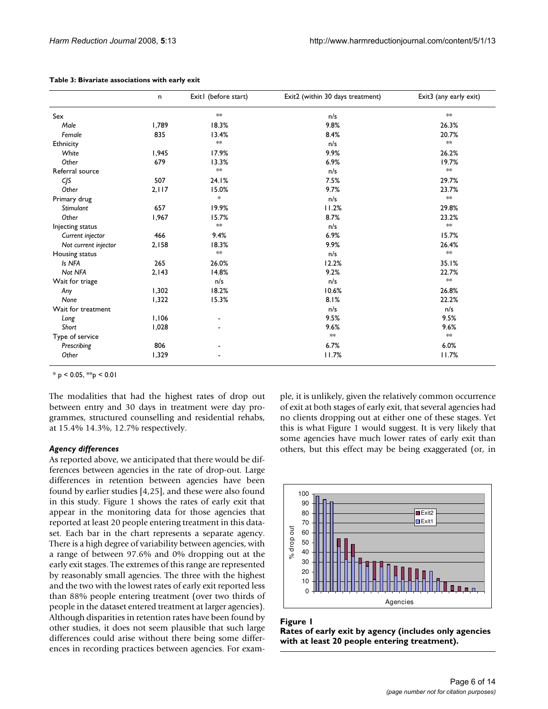|                      | n     | Exit1 (before start)    | Exit2 (within 30 days treatment) | Exit3 (any early exit) |
|----------------------|-------|-------------------------|----------------------------------|------------------------|
| Sex                  |       |                         | n/s                              | $*$                    |
| Male                 | 1,789 | 18.3%                   | 9.8%                             | 26.3%                  |
| Female               | 835   | 13.4%                   | 8.4%                             | 20.7%                  |
| Ethnicity            |       | $\ast\!\!\ast$          | n/s                              | $\ast\!\!\ast$         |
| White                | 1,945 | 17.9%                   | 9.9%                             | 26.2%                  |
| Other                | 679   | 13.3%                   | 6.9%                             | 19.7%                  |
| Referral source      |       | $\left \diamond\right $ | n/s                              | $*$                    |
| CJS                  | 507   | 24.1%                   | 7.5%                             | 29.7%                  |
| Other                | 2,117 | 15.0%                   | 9.7%                             | 23.7%                  |
| Primary drug         |       | $*$                     | n/s                              | $*\!\!\!\!\times\!\!*$ |
| <b>Stimulant</b>     | 657   | 19.9%                   | 11.2%                            | 29.8%                  |
| Other                | 1,967 | 15.7%                   | 8.7%                             | 23.2%                  |
| Injecting status     |       | $*$                     | n/s                              | $*$                    |
| Current injector     | 466   | 9.4%                    | 6.9%                             | 15.7%                  |
| Not current injector | 2,158 | 18.3%                   | 9.9%                             | 26.4%                  |
| Housing status       |       | $\left \diamond\right $ | n/s                              | $\ast\!\!\ast$         |
| Is NFA               | 265   | 26.0%                   | 12.2%                            | 35.1%                  |
| Not NFA              | 2,143 | 14.8%                   | 9.2%                             | 22.7%                  |
| Wait for triage      |       | n/s                     | n/s                              | $*$                    |
| Any                  | 1,302 | 18.2%                   | 10.6%                            | 26.8%                  |
| None                 | 1,322 | 15.3%                   | 8.1%                             | 22.2%                  |
| Wait for treatment   |       |                         | n/s                              | n/s                    |
| Long                 | 1,106 | $\blacksquare$          | 9.5%                             | 9.5%                   |
| Short                | 1,028 |                         | 9.6%                             | 9.6%                   |
| Type of service      |       |                         | $*$                              | $*$                    |
| Prescribing          | 806   | $\blacksquare$          | 6.7%                             | 6.0%                   |
| Other                | 1,329 |                         | 11.7%                            | 11.7%                  |

#### **Table 3: Bivariate associations with early exit**

 $*$  p < 0.05,  $*$  $p$  < 0.01

The modalities that had the highest rates of drop out between entry and 30 days in treatment were day programmes, structured counselling and residential rehabs, at 15.4% 14.3%, 12.7% respectively.

#### *Agency differences*

As reported above, we anticipated that there would be differences between agencies in the rate of drop-out. Large differences in retention between agencies have been found by earlier studies [4,25], and these were also found in this study. Figure 1 shows the rates of early exit that appear in the monitoring data for those agencies that reported at least 20 people entering treatment in this dataset. Each bar in the chart represents a separate agency. There is a high degree of variability between agencies, with a range of between 97.6% and 0% dropping out at the early exit stages. The extremes of this range are represented by reasonably small agencies. The three with the highest and the two with the lowest rates of early exit reported less than 88% people entering treatment (over two thirds of people in the dataset entered treatment at larger agencies). Although disparities in retention rates have been found by other studies, it does not seem plausible that such large differences could arise without there being some differences in recording practices between agencies. For example, it is unlikely, given the relatively common occurrence of exit at both stages of early exit, that several agencies had no clients dropping out at either one of these stages. Yet this is what Figure 1 would suggest. It is very likely that some agencies have much lower rates of early exit than others, but this effect may be being exaggerated (or, in



#### **Figure 1**

**Rates of early exit by agency (includes only agencies with at least 20 people entering treatment).**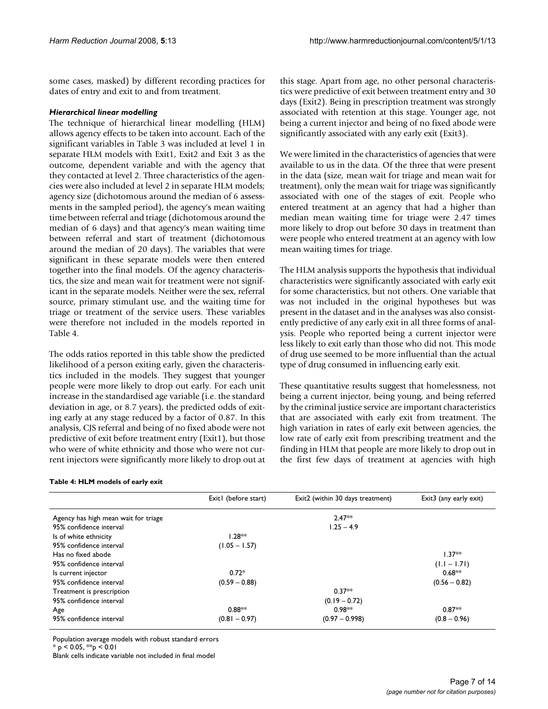some cases, masked) by different recording practices for dates of entry and exit to and from treatment.

#### *Hierarchical linear modelling*

The technique of hierarchical linear modelling (HLM) allows agency effects to be taken into account. Each of the significant variables in Table 3 was included at level 1 in separate HLM models with Exit1, Exit2 and Exit 3 as the outcome, dependent variable and with the agency that they contacted at level 2. Three characteristics of the agencies were also included at level 2 in separate HLM models; agency size (dichotomous around the median of 6 assessments in the sampled period), the agency's mean waiting time between referral and triage (dichotomous around the median of 6 days) and that agency's mean waiting time between referral and start of treatment (dichotomous around the median of 20 days). The variables that were significant in these separate models were then entered together into the final models. Of the agency characteristics, the size and mean wait for treatment were not significant in the separate models. Neither were the sex, referral source, primary stimulant use, and the waiting time for triage or treatment of the service users. These variables were therefore not included in the models reported in Table 4.

The odds ratios reported in this table show the predicted likelihood of a person exiting early, given the characteristics included in the models. They suggest that younger people were more likely to drop out early. For each unit increase in the standardised age variable (i.e. the standard deviation in age, or 8.7 years), the predicted odds of exiting early at any stage reduced by a factor of 0.87. In this analysis, CJS referral and being of no fixed abode were not predictive of exit before treatment entry (Exit1), but those who were of white ethnicity and those who were not current injectors were significantly more likely to drop out at

#### **Table 4: HLM models of early exit**

this stage. Apart from age, no other personal characteristics were predictive of exit between treatment entry and 30 days (Exit2). Being in prescription treatment was strongly associated with retention at this stage. Younger age, not being a current injector and being of no fixed abode were significantly associated with any early exit (Exit3).

We were limited in the characteristics of agencies that were available to us in the data. Of the three that were present in the data (size, mean wait for triage and mean wait for treatment), only the mean wait for triage was significantly associated with one of the stages of exit. People who entered treatment at an agency that had a higher than median mean waiting time for triage were 2.47 times more likely to drop out before 30 days in treatment than were people who entered treatment at an agency with low mean waiting times for triage.

The HLM analysis supports the hypothesis that individual characteristics were significantly associated with early exit for some characteristics, but not others. One variable that was not included in the original hypotheses but was present in the dataset and in the analyses was also consistently predictive of any early exit in all three forms of analysis. People who reported being a current injector were less likely to exit early than those who did not. This mode of drug use seemed to be more influential than the actual type of drug consumed in influencing early exit.

These quantitative results suggest that homelessness, not being a current injector, being young, and being referred by the criminal justice service are important characteristics that are associated with early exit from treatment. The high variation in rates of early exit between agencies, the low rate of early exit from prescribing treatment and the finding in HLM that people are more likely to drop out in the first few days of treatment at agencies with high

|                                      | Exit1 (before start) | Exit2 (within 30 days treatment) | Exit3 (any early exit) |
|--------------------------------------|----------------------|----------------------------------|------------------------|
| Agency has high mean wait for triage |                      | $2.47**$                         |                        |
| 95% confidence interval              |                      | $1.25 - 4.9$                     |                        |
| Is of white ethnicity                | l.28 <sup>∗⊳k</sup>  |                                  |                        |
| 95% confidence interval              | $(1.05 - 1.57)$      |                                  |                        |
| Has no fixed abode                   |                      |                                  | $1.37**$               |
| 95% confidence interval              |                      |                                  | $(1.1 - 1.71)$         |
| Is current injector                  | $0.72*$              |                                  | $0.68**$               |
| 95% confidence interval              | $(0.59 - 0.88)$      |                                  | $(0.56 - 0.82)$        |
| Treatment is prescription            |                      | $0.37**$                         |                        |
| 95% confidence interval              |                      | $(0.19 - 0.72)$                  |                        |
| Age                                  | $0.88**$             | $0.98**$                         | $0.87**$               |
| 95% confidence interval              | $(0.81 - 0.97)$      | $(0.97 - 0.998)$                 | $(0.8 - 0.96)$         |

Population average models with robust standard errors

 $*$  p < 0.05,  $*$  $p$  < 0.01

Blank cells indicate variable not included in final model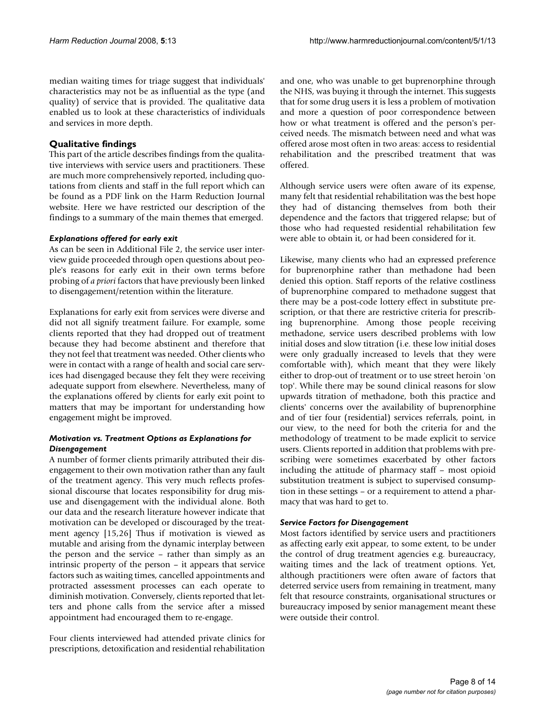median waiting times for triage suggest that individuals' characteristics may not be as influential as the type (and quality) of service that is provided. The qualitative data enabled us to look at these characteristics of individuals and services in more depth.

# **Qualitative findings**

This part of the article describes findings from the qualitative interviews with service users and practitioners. These are much more comprehensively reported, including quotations from clients and staff in the full report which can be found as a PDF link on the Harm Reduction Journal website. Here we have restricted our description of the findings to a summary of the main themes that emerged.

#### *Explanations offered for early exit*

As can be seen in Additional File 2, the service user interview guide proceeded through open questions about people's reasons for early exit in their own terms before probing of *a priori* factors that have previously been linked to disengagement/retention within the literature.

Explanations for early exit from services were diverse and did not all signify treatment failure. For example, some clients reported that they had dropped out of treatment because they had become abstinent and therefore that they not feel that treatment was needed. Other clients who were in contact with a range of health and social care services had disengaged because they felt they were receiving adequate support from elsewhere. Nevertheless, many of the explanations offered by clients for early exit point to matters that may be important for understanding how engagement might be improved.

# *Motivation vs. Treatment Options as Explanations for Disengagement*

A number of former clients primarily attributed their disengagement to their own motivation rather than any fault of the treatment agency. This very much reflects professional discourse that locates responsibility for drug misuse and disengagement with the individual alone. Both our data and the research literature however indicate that motivation can be developed or discouraged by the treatment agency [15,26] Thus if motivation is viewed as mutable and arising from the dynamic interplay between the person and the service – rather than simply as an intrinsic property of the person – it appears that service factors such as waiting times, cancelled appointments and protracted assessment processes can each operate to diminish motivation. Conversely, clients reported that letters and phone calls from the service after a missed appointment had encouraged them to re-engage.

Four clients interviewed had attended private clinics for prescriptions, detoxification and residential rehabilitation and one, who was unable to get buprenorphine through the NHS, was buying it through the internet. This suggests that for some drug users it is less a problem of motivation and more a question of poor correspondence between how or what treatment is offered and the person's perceived needs. The mismatch between need and what was offered arose most often in two areas: access to residential rehabilitation and the prescribed treatment that was offered.

Although service users were often aware of its expense, many felt that residential rehabilitation was the best hope they had of distancing themselves from both their dependence and the factors that triggered relapse; but of those who had requested residential rehabilitation few were able to obtain it, or had been considered for it.

Likewise, many clients who had an expressed preference for buprenorphine rather than methadone had been denied this option. Staff reports of the relative costliness of buprenorphine compared to methadone suggest that there may be a post-code lottery effect in substitute prescription, or that there are restrictive criteria for prescribing buprenorphine. Among those people receiving methadone, service users described problems with low initial doses and slow titration (i.e. these low initial doses were only gradually increased to levels that they were comfortable with), which meant that they were likely either to drop-out of treatment or to use street heroin 'on top'. While there may be sound clinical reasons for slow upwards titration of methadone, both this practice and clients' concerns over the availability of buprenorphine and of tier four (residential) services referrals, point, in our view, to the need for both the criteria for and the methodology of treatment to be made explicit to service users. Clients reported in addition that problems with prescribing were sometimes exacerbated by other factors including the attitude of pharmacy staff – most opioid substitution treatment is subject to supervised consumption in these settings – or a requirement to attend a pharmacy that was hard to get to.

#### *Service Factors for Disengagement*

Most factors identified by service users and practitioners as affecting early exit appear, to some extent, to be under the control of drug treatment agencies e.g. bureaucracy, waiting times and the lack of treatment options. Yet, although practitioners were often aware of factors that deterred service users from remaining in treatment, many felt that resource constraints, organisational structures or bureaucracy imposed by senior management meant these were outside their control.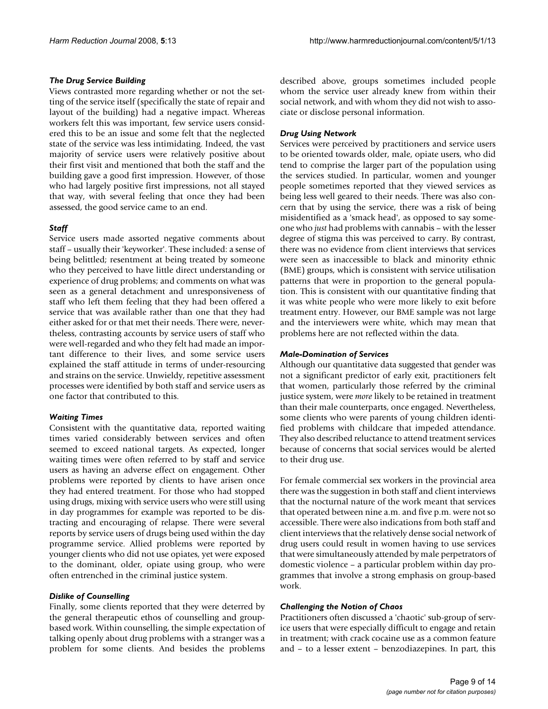# *The Drug Service Building*

Views contrasted more regarding whether or not the setting of the service itself (specifically the state of repair and layout of the building) had a negative impact. Whereas workers felt this was important, few service users considered this to be an issue and some felt that the neglected state of the service was less intimidating. Indeed, the vast majority of service users were relatively positive about their first visit and mentioned that both the staff and the building gave a good first impression. However, of those who had largely positive first impressions, not all stayed that way, with several feeling that once they had been assessed, the good service came to an end.

# *Staff*

Service users made assorted negative comments about staff – usually their 'keyworker'. These included: a sense of being belittled; resentment at being treated by someone who they perceived to have little direct understanding or experience of drug problems; and comments on what was seen as a general detachment and unresponsiveness of staff who left them feeling that they had been offered a service that was available rather than one that they had either asked for or that met their needs. There were, nevertheless, contrasting accounts by service users of staff who were well-regarded and who they felt had made an important difference to their lives, and some service users explained the staff attitude in terms of under-resourcing and strains on the service. Unwieldy, repetitive assessment processes were identified by both staff and service users as one factor that contributed to this.

# *Waiting Times*

Consistent with the quantitative data, reported waiting times varied considerably between services and often seemed to exceed national targets. As expected, longer waiting times were often referred to by staff and service users as having an adverse effect on engagement. Other problems were reported by clients to have arisen once they had entered treatment. For those who had stopped using drugs, mixing with service users who were still using in day programmes for example was reported to be distracting and encouraging of relapse. There were several reports by service users of drugs being used within the day programme service. Allied problems were reported by younger clients who did not use opiates, yet were exposed to the dominant, older, opiate using group, who were often entrenched in the criminal justice system.

# *Dislike of Counselling*

Finally, some clients reported that they were deterred by the general therapeutic ethos of counselling and groupbased work. Within counselling, the simple expectation of talking openly about drug problems with a stranger was a problem for some clients. And besides the problems described above, groups sometimes included people whom the service user already knew from within their social network, and with whom they did not wish to associate or disclose personal information.

# *Drug Using Network*

Services were perceived by practitioners and service users to be oriented towards older, male, opiate users, who did tend to comprise the larger part of the population using the services studied. In particular, women and younger people sometimes reported that they viewed services as being less well geared to their needs. There was also concern that by using the service, there was a risk of being misidentified as a 'smack head', as opposed to say someone who *just* had problems with cannabis – with the lesser degree of stigma this was perceived to carry. By contrast, there was no evidence from client interviews that services were seen as inaccessible to black and minority ethnic (BME) groups, which is consistent with service utilisation patterns that were in proportion to the general population. This is consistent with our quantitative finding that it was white people who were more likely to exit before treatment entry. However, our BME sample was not large and the interviewers were white, which may mean that problems here are not reflected within the data.

# *Male-Domination of Services*

Although our quantitative data suggested that gender was not a significant predictor of early exit, practitioners felt that women, particularly those referred by the criminal justice system, were *more* likely to be retained in treatment than their male counterparts, once engaged. Nevertheless, some clients who were parents of young children identified problems with childcare that impeded attendance. They also described reluctance to attend treatment services because of concerns that social services would be alerted to their drug use.

For female commercial sex workers in the provincial area there was the suggestion in both staff and client interviews that the nocturnal nature of the work meant that services that operated between nine a.m. and five p.m. were not so accessible. There were also indications from both staff and client interviews that the relatively dense social network of drug users could result in women having to use services that were simultaneously attended by male perpetrators of domestic violence – a particular problem within day programmes that involve a strong emphasis on group-based work.

# *Challenging the Notion of Chaos*

Practitioners often discussed a 'chaotic' sub-group of service users that were especially difficult to engage and retain in treatment; with crack cocaine use as a common feature and – to a lesser extent – benzodiazepines. In part, this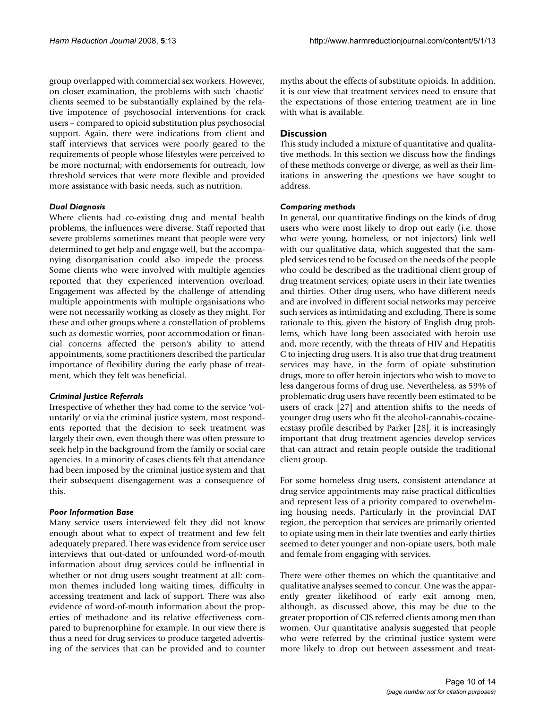group overlapped with commercial sex workers. However, on closer examination, the problems with such 'chaotic' clients seemed to be substantially explained by the relative impotence of psychosocial interventions for crack users – compared to opioid substitution plus psychosocial support. Again, there were indications from client and staff interviews that services were poorly geared to the requirements of people whose lifestyles were perceived to be more nocturnal; with endorsements for outreach, low threshold services that were more flexible and provided more assistance with basic needs, such as nutrition.

#### *Dual Diagnosis*

Where clients had co-existing drug and mental health problems, the influences were diverse. Staff reported that severe problems sometimes meant that people were very determined to get help and engage well, but the accompanying disorganisation could also impede the process. Some clients who were involved with multiple agencies reported that they experienced intervention overload. Engagement was affected by the challenge of attending multiple appointments with multiple organisations who were not necessarily working as closely as they might. For these and other groups where a constellation of problems such as domestic worries, poor accommodation or financial concerns affected the person's ability to attend appointments, some practitioners described the particular importance of flexibility during the early phase of treatment, which they felt was beneficial.

# *Criminal Justice Referrals*

Irrespective of whether they had come to the service 'voluntarily' or via the criminal justice system, most respondents reported that the decision to seek treatment was largely their own, even though there was often pressure to seek help in the background from the family or social care agencies. In a minority of cases clients felt that attendance had been imposed by the criminal justice system and that their subsequent disengagement was a consequence of this.

#### *Poor Information Base*

Many service users interviewed felt they did not know enough about what to expect of treatment and few felt adequately prepared. There was evidence from service user interviews that out-dated or unfounded word-of-mouth information about drug services could be influential in whether or not drug users sought treatment at all: common themes included long waiting times, difficulty in accessing treatment and lack of support. There was also evidence of word-of-mouth information about the properties of methadone and its relative effectiveness compared to buprenorphine for example. In our view there is thus a need for drug services to produce targeted advertising of the services that can be provided and to counter myths about the effects of substitute opioids. In addition, it is our view that treatment services need to ensure that the expectations of those entering treatment are in line with what is available.

# **Discussion**

This study included a mixture of quantitative and qualitative methods. In this section we discuss how the findings of these methods converge or diverge, as well as their limitations in answering the questions we have sought to address.

#### *Comparing methods*

In general, our quantitative findings on the kinds of drug users who were most likely to drop out early (i.e. those who were young, homeless, or not injectors) link well with our qualitative data, which suggested that the sampled services tend to be focused on the needs of the people who could be described as the traditional client group of drug treatment services; opiate users in their late twenties and thirties. Other drug users, who have different needs and are involved in different social networks may perceive such services as intimidating and excluding. There is some rationale to this, given the history of English drug problems, which have long been associated with heroin use and, more recently, with the threats of HIV and Hepatitis C to injecting drug users. It is also true that drug treatment services may have, in the form of opiate substitution drugs, more to offer heroin injectors who wish to move to less dangerous forms of drug use. Nevertheless, as 59% of problematic drug users have recently been estimated to be users of crack [27] and attention shifts to the needs of younger drug users who fit the alcohol-cannabis-cocaineecstasy profile described by Parker [28], it is increasingly important that drug treatment agencies develop services that can attract and retain people outside the traditional client group.

For some homeless drug users, consistent attendance at drug service appointments may raise practical difficulties and represent less of a priority compared to overwhelming housing needs. Particularly in the provincial DAT region, the perception that services are primarily oriented to opiate using men in their late twenties and early thirties seemed to deter younger and non-opiate users, both male and female from engaging with services.

There were other themes on which the quantitative and qualitative analyses seemed to concur. One was the apparently greater likelihood of early exit among men, although, as discussed above, this may be due to the greater proportion of CJS referred clients among men than women. Our quantitative analysis suggested that people who were referred by the criminal justice system were more likely to drop out between assessment and treat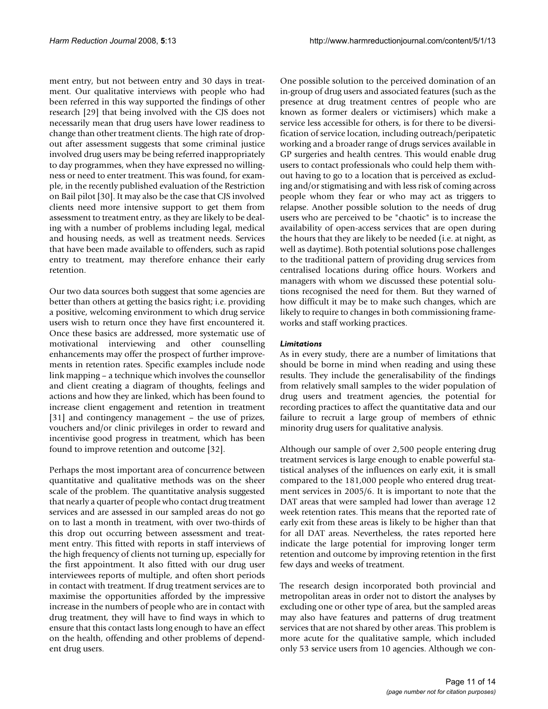ment entry, but not between entry and 30 days in treatment. Our qualitative interviews with people who had been referred in this way supported the findings of other research [29] that being involved with the CJS does not necessarily mean that drug users have lower readiness to change than other treatment clients. The high rate of dropout after assessment suggests that some criminal justice involved drug users may be being referred inappropriately to day programmes, when they have expressed no willingness or need to enter treatment. This was found, for example, in the recently published evaluation of the Restriction on Bail pilot [30]. It may also be the case that CJS involved clients need more intensive support to get them from assessment to treatment entry, as they are likely to be dealing with a number of problems including legal, medical and housing needs, as well as treatment needs. Services that have been made available to offenders, such as rapid entry to treatment, may therefore enhance their early retention.

Our two data sources both suggest that some agencies are better than others at getting the basics right; i.e. providing a positive, welcoming environment to which drug service users wish to return once they have first encountered it. Once these basics are addressed, more systematic use of motivational interviewing and other counselling enhancements may offer the prospect of further improvements in retention rates. Specific examples include node link mapping – a technique which involves the counsellor and client creating a diagram of thoughts, feelings and actions and how they are linked, which has been found to increase client engagement and retention in treatment [31] and contingency management – the use of prizes, vouchers and/or clinic privileges in order to reward and incentivise good progress in treatment, which has been found to improve retention and outcome [32].

Perhaps the most important area of concurrence between quantitative and qualitative methods was on the sheer scale of the problem. The quantitative analysis suggested that nearly a quarter of people who contact drug treatment services and are assessed in our sampled areas do not go on to last a month in treatment, with over two-thirds of this drop out occurring between assessment and treatment entry. This fitted with reports in staff interviews of the high frequency of clients not turning up, especially for the first appointment. It also fitted with our drug user interviewees reports of multiple, and often short periods in contact with treatment. If drug treatment services are to maximise the opportunities afforded by the impressive increase in the numbers of people who are in contact with drug treatment, they will have to find ways in which to ensure that this contact lasts long enough to have an effect on the health, offending and other problems of dependent drug users.

One possible solution to the perceived domination of an in-group of drug users and associated features (such as the presence at drug treatment centres of people who are known as former dealers or victimisers) which make a service less accessible for others, is for there to be diversification of service location, including outreach/peripatetic working and a broader range of drugs services available in GP surgeries and health centres. This would enable drug users to contact professionals who could help them without having to go to a location that is perceived as excluding and/or stigmatising and with less risk of coming across people whom they fear or who may act as triggers to relapse. Another possible solution to the needs of drug users who are perceived to be "chaotic" is to increase the availability of open-access services that are open during the hours that they are likely to be needed (i.e. at night, as well as daytime). Both potential solutions pose challenges to the traditional pattern of providing drug services from centralised locations during office hours. Workers and managers with whom we discussed these potential solutions recognised the need for them. But they warned of how difficult it may be to make such changes, which are likely to require to changes in both commissioning frameworks and staff working practices.

#### *Limitations*

As in every study, there are a number of limitations that should be borne in mind when reading and using these results. They include the generalisability of the findings from relatively small samples to the wider population of drug users and treatment agencies, the potential for recording practices to affect the quantitative data and our failure to recruit a large group of members of ethnic minority drug users for qualitative analysis.

Although our sample of over 2,500 people entering drug treatment services is large enough to enable powerful statistical analyses of the influences on early exit, it is small compared to the 181,000 people who entered drug treatment services in 2005/6. It is important to note that the DAT areas that were sampled had lower than average 12 week retention rates. This means that the reported rate of early exit from these areas is likely to be higher than that for all DAT areas. Nevertheless, the rates reported here indicate the large potential for improving longer term retention and outcome by improving retention in the first few days and weeks of treatment.

The research design incorporated both provincial and metropolitan areas in order not to distort the analyses by excluding one or other type of area, but the sampled areas may also have features and patterns of drug treatment services that are not shared by other areas. This problem is more acute for the qualitative sample, which included only 53 service users from 10 agencies. Although we con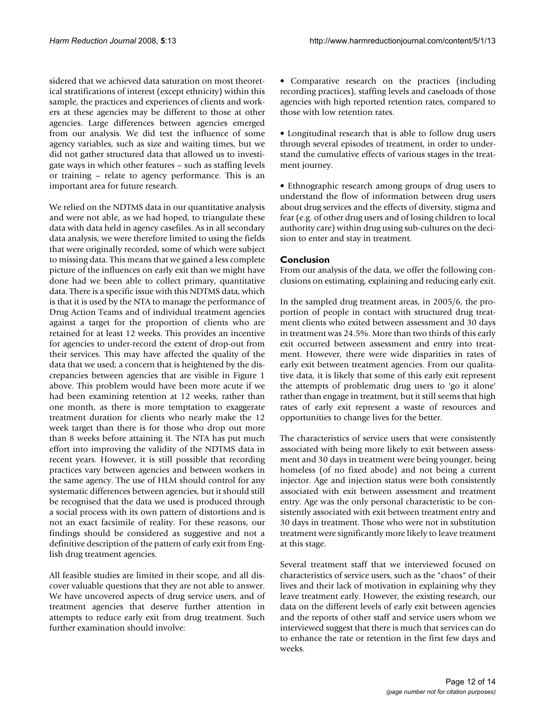sidered that we achieved data saturation on most theoretical stratifications of interest (except ethnicity) within this sample, the practices and experiences of clients and workers at these agencies may be different to those at other agencies. Large differences between agencies emerged from our analysis. We did test the influence of some agency variables, such as size and waiting times, but we did not gather structured data that allowed us to investigate ways in which other features – such as staffing levels or training – relate to agency performance. This is an important area for future research.

We relied on the NDTMS data in our quantitative analysis and were not able, as we had hoped, to triangulate these data with data held in agency casefiles. As in all secondary data analysis, we were therefore limited to using the fields that were originally recorded, some of which were subject to missing data. This means that we gained a less complete picture of the influences on early exit than we might have done had we been able to collect primary, quantitative data. There is a specific issue with this NDTMS data, which is that it is used by the NTA to manage the performance of Drug Action Teams and of individual treatment agencies against a target for the proportion of clients who are retained for at least 12 weeks. This provides an incentive for agencies to under-record the extent of drop-out from their services. This may have affected the quality of the data that we used; a concern that is heightened by the discrepancies between agencies that are visible in Figure 1 above. This problem would have been more acute if we had been examining retention at 12 weeks, rather than one month, as there is more temptation to exaggerate treatment duration for clients who nearly make the 12 week target than there is for those who drop out more than 8 weeks before attaining it. The NTA has put much effort into improving the validity of the NDTMS data in recent years. However, it is still possible that recording practices vary between agencies and between workers in the same agency. The use of HLM should control for any systematic differences between agencies, but it should still be recognised that the data we used is produced through a social process with its own pattern of distortions and is not an exact facsimile of reality. For these reasons, our findings should be considered as suggestive and not a definitive description of the pattern of early exit from English drug treatment agencies.

All feasible studies are limited in their scope, and all discover valuable questions that they are not able to answer. We have uncovered aspects of drug service users, and of treatment agencies that deserve further attention in attempts to reduce early exit from drug treatment. Such further examination should involve:

• Comparative research on the practices (including recording practices), staffing levels and caseloads of those agencies with high reported retention rates, compared to those with low retention rates.

• Longitudinal research that is able to follow drug users through several episodes of treatment, in order to understand the cumulative effects of various stages in the treatment journey.

• Ethnographic research among groups of drug users to understand the flow of information between drug users about drug services and the effects of diversity, stigma and fear (e.g. of other drug users and of losing children to local authority care) within drug using sub-cultures on the decision to enter and stay in treatment.

# **Conclusion**

From our analysis of the data, we offer the following conclusions on estimating, explaining and reducing early exit.

In the sampled drug treatment areas, in 2005/6, the proportion of people in contact with structured drug treatment clients who exited between assessment and 30 days in treatment was 24.5%. More than two thirds of this early exit occurred between assessment and entry into treatment. However, there were wide disparities in rates of early exit between treatment agencies. From our qualitative data, it is likely that some of this early exit represent the attempts of problematic drug users to 'go it alone' rather than engage in treatment, but it still seems that high rates of early exit represent a waste of resources and opportunities to change lives for the better.

The characteristics of service users that were consistently associated with being more likely to exit between assessment and 30 days in treatment were being younger, being homeless (of no fixed abode) and not being a current injector. Age and injection status were both consistently associated with exit between assessment and treatment entry. Age was the only personal characteristic to be consistently associated with exit between treatment entry and 30 days in treatment. Those who were not in substitution treatment were significantly more likely to leave treatment at this stage.

Several treatment staff that we interviewed focused on characteristics of service users, such as the "chaos" of their lives and their lack of motivation in explaining why they leave treatment early. However, the existing research, our data on the different levels of early exit between agencies and the reports of other staff and service users whom we interviewed suggest that there is much that services can do to enhance the rate or retention in the first few days and weeks.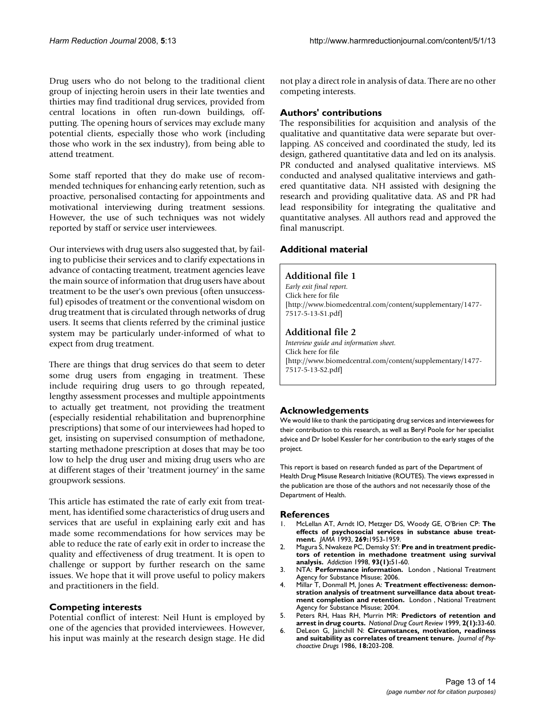Drug users who do not belong to the traditional client group of injecting heroin users in their late twenties and thirties may find traditional drug services, provided from central locations in often run-down buildings, offputting. The opening hours of services may exclude many potential clients, especially those who work (including those who work in the sex industry), from being able to attend treatment.

Some staff reported that they do make use of recommended techniques for enhancing early retention, such as proactive, personalised contacting for appointments and motivational interviewing during treatment sessions. However, the use of such techniques was not widely reported by staff or service user interviewees.

Our interviews with drug users also suggested that, by failing to publicise their services and to clarify expectations in advance of contacting treatment, treatment agencies leave the main source of information that drug users have about treatment to be the user's own previous (often unsuccessful) episodes of treatment or the conventional wisdom on drug treatment that is circulated through networks of drug users. It seems that clients referred by the criminal justice system may be particularly under-informed of what to expect from drug treatment.

There are things that drug services do that seem to deter some drug users from engaging in treatment. These include requiring drug users to go through repeated, lengthy assessment processes and multiple appointments to actually get treatment, not providing the treatment (especially residential rehabilitation and buprenorphine prescriptions) that some of our interviewees had hoped to get, insisting on supervised consumption of methadone, starting methadone prescription at doses that may be too low to help the drug user and mixing drug users who are at different stages of their 'treatment journey' in the same groupwork sessions.

This article has estimated the rate of early exit from treatment, has identified some characteristics of drug users and services that are useful in explaining early exit and has made some recommendations for how services may be able to reduce the rate of early exit in order to increase the quality and effectiveness of drug treatment. It is open to challenge or support by further research on the same issues. We hope that it will prove useful to policy makers and practitioners in the field.

# **Competing interests**

Potential conflict of interest: Neil Hunt is employed by one of the agencies that provided interviewees. However, his input was mainly at the research design stage. He did not play a direct role in analysis of data. There are no other competing interests.

### **Authors' contributions**

The responsibilities for acquisition and analysis of the qualitative and quantitative data were separate but overlapping. AS conceived and coordinated the study, led its design, gathered quantitative data and led on its analysis. PR conducted and analysed qualitative interviews. MS conducted and analysed qualitative interviews and gathered quantitative data. NH assisted with designing the research and providing qualitative data. AS and PR had lead responsibility for integrating the qualitative and quantitative analyses. All authors read and approved the final manuscript.

# **Additional material**

#### **Additional file 1**

*Early exit final report.* Click here for file [\[http://www.biomedcentral.com/content/supplementary/1477-](http://www.biomedcentral.com/content/supplementary/1477-7517-5-13-S1.pdf) 7517-5-13-S1.pdf]

# **Additional file 2**

*Interview guide and information sheet.* Click here for file [\[http://www.biomedcentral.com/content/supplementary/1477-](http://www.biomedcentral.com/content/supplementary/1477-7517-5-13-S2.pdf) 7517-5-13-S2.pdf]

# **Acknowledgements**

We would like to thank the participating drug services and interviewees for their contribution to this research, as well as Beryl Poole for her specialist advice and Dr Isobel Kessler for her contribution to the early stages of the project.

This report is based on research funded as part of the Department of Health Drug Misuse Research Initiative (ROUTES). The views expressed in the publication are those of the authors and not necessarily those of the Department of Health.

#### **References**

- 1. McLellan AT, Arndt IO, Metzger DS, Woody GE, O'Brien CP: **[The](http://www.ncbi.nlm.nih.gov/entrez/query.fcgi?cmd=Retrieve&db=PubMed&dopt=Abstract&list_uids=8385230) [effects of psychosocial services in substance abuse treat](http://www.ncbi.nlm.nih.gov/entrez/query.fcgi?cmd=Retrieve&db=PubMed&dopt=Abstract&list_uids=8385230)[ment.](http://www.ncbi.nlm.nih.gov/entrez/query.fcgi?cmd=Retrieve&db=PubMed&dopt=Abstract&list_uids=8385230)** *JAMA* 1993, **269:**1953-1959.
- 2. Magura S, Nwakeze PC, Demsky SY: **[Pre and in treatment predic](http://www.ncbi.nlm.nih.gov/entrez/query.fcgi?cmd=Retrieve&db=PubMed&dopt=Abstract&list_uids=9624711)[tors of retention in methadone treatment using survival](http://www.ncbi.nlm.nih.gov/entrez/query.fcgi?cmd=Retrieve&db=PubMed&dopt=Abstract&list_uids=9624711) [analysis.](http://www.ncbi.nlm.nih.gov/entrez/query.fcgi?cmd=Retrieve&db=PubMed&dopt=Abstract&list_uids=9624711)** *Addiction* 1998, **93(1):**51-60.
- 3. NTA: **Performance information.** London , National Treatment Agency for Substance Misuse; 2006.
- 4. Millar T, Donmall M, Jones A: **Treatment effectiveness: demonstration analysis of treatment surveillance data about treatment completion and retention.** London , National Treatment Agency for Substance Misuse; 2004.
- 5. Peters RH, Haas RH, Murrin MR: **Predictors of retention and arrest in drug courts.** *National Drug Court Review* 1999, **2(1):**33-60.
- 6. DeLeon G, Jainchill N: **[Circumstances, motivation, readiness](http://www.ncbi.nlm.nih.gov/entrez/query.fcgi?cmd=Retrieve&db=PubMed&dopt=Abstract&list_uids=3772644) [and suitability as correlates of treament tenure.](http://www.ncbi.nlm.nih.gov/entrez/query.fcgi?cmd=Retrieve&db=PubMed&dopt=Abstract&list_uids=3772644)** *Journal of Psychoactive Drugs* 1986, **18:**203-208.